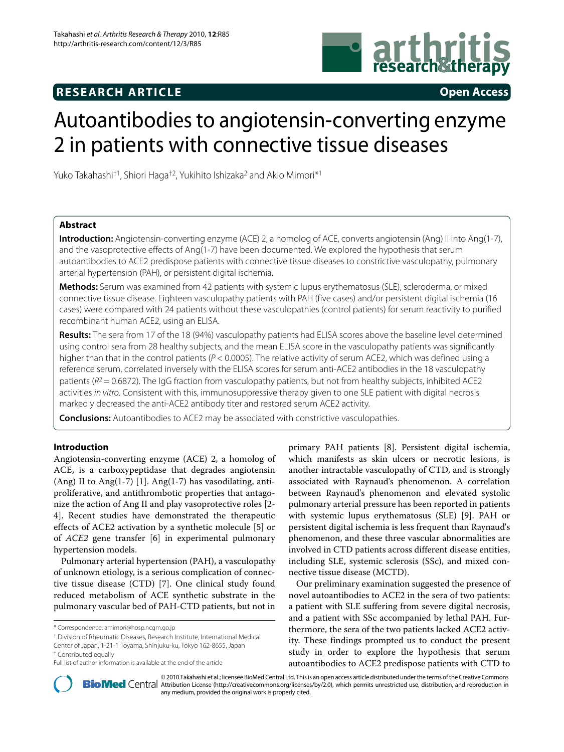## **RESEARCH ARTICLE Open Access**

# Autoantibodies to angiotensin-converting enzyme 2 in patients with connective tissue diseases

Yuko Takahashi†1, Shiori Haga†2, Yukihito Ishizaka2 and Akio Mimori\*1

### **Abstract**

**Introduction:** Angiotensin-converting enzyme (ACE) 2, a homolog of ACE, converts angiotensin (Ang) II into Ang(1-7), and the vasoprotective effects of Ang(1-7) have been documented. We explored the hypothesis that serum autoantibodies to ACE2 predispose patients with connective tissue diseases to constrictive vasculopathy, pulmonary arterial hypertension (PAH), or persistent digital ischemia.

**Methods:** Serum was examined from 42 patients with systemic lupus erythematosus (SLE), scleroderma, or mixed connective tissue disease. Eighteen vasculopathy patients with PAH (five cases) and/or persistent digital ischemia (16 cases) were compared with 24 patients without these vasculopathies (control patients) for serum reactivity to purified recombinant human ACE2, using an ELISA.

**Results:** The sera from 17 of the 18 (94%) vasculopathy patients had ELISA scores above the baseline level determined using control sera from 28 healthy subjects, and the mean ELISA score in the vasculopathy patients was significantly higher than that in the control patients (P < 0.0005). The relative activity of serum ACE2, which was defined using a reference serum, correlated inversely with the ELISA scores for serum anti-ACE2 antibodies in the 18 vasculopathy patients ( $R^2$  = 0.6872). The IgG fraction from vasculopathy patients, but not from healthy subjects, inhibited ACE2 activities in vitro. Consistent with this, immunosuppressive therapy given to one SLE patient with digital necrosis markedly decreased the anti-ACE2 antibody titer and restored serum ACE2 activity.

**Conclusions:** Autoantibodies to ACE2 may be associated with constrictive vasculopathies.

#### **Introduction**

Angiotensin-converting enzyme (ACE) 2, a homolog of ACE, is a carboxypeptidase that degrades angiotensin (Ang) II to Ang(1-7) [[1\]](#page-6-0). Ang(1-7) has vasodilating, antiproliferative, and antithrombotic properties that antagonize the action of Ang II and play vasoprotective roles [\[2](#page-6-1)- [4\]](#page-6-2). Recent studies have demonstrated the therapeutic effects of ACE2 activation by a synthetic molecule [[5\]](#page-6-3) or of *ACE2* gene transfer [\[6](#page-6-4)] in experimental pulmonary hypertension models.

Pulmonary arterial hypertension (PAH), a vasculopathy of unknown etiology, is a serious complication of connective tissue disease (CTD) [[7\]](#page-6-5). One clinical study found reduced metabolism of ACE synthetic substrate in the pulmonary vascular bed of PAH-CTD patients, but not in

1 Division of Rheumatic Diseases, Research Institute, International Medical Center of Japan, 1-21-1 Toyama, Shinjuku-ku, Tokyo 162-8655, Japan

primary PAH patients [\[8](#page-6-6)]. Persistent digital ischemia, which manifests as skin ulcers or necrotic lesions, is another intractable vasculopathy of CTD, and is strongly associated with Raynaud's phenomenon. A correlation between Raynaud's phenomenon and elevated systolic pulmonary arterial pressure has been reported in patients with systemic lupus erythematosus (SLE) [\[9](#page-6-7)]. PAH or persistent digital ischemia is less frequent than Raynaud's phenomenon, and these three vascular abnormalities are involved in CTD patients across different disease entities, including SLE, systemic sclerosis (SSc), and mixed connective tissue disease (MCTD).

Our preliminary examination suggested the presence of novel autoantibodies to ACE2 in the sera of two patients: a patient with SLE suffering from severe digital necrosis, and a patient with SSc accompanied by lethal PAH. Furthermore, the sera of the two patients lacked ACE2 activity. These findings prompted us to conduct the present study in order to explore the hypothesis that serum autoantibodies to ACE2 predispose patients with CTD to



2010 Takahashi et al.; licensee [BioMed](http://www.biomedcentral.com/) Central Ltd. This is an open access article distributed under the terms of the Creative Commons (http://creativecommons.org/licenses/by/2.0), which permits unrestricted use, distribut any medium, provided the original work is properly cited.

<sup>\*</sup> Correspondence: amimori@hosp.ncgm.go.jp

<sup>†</sup> Contributed equally

Full list of author information is available at the end of the article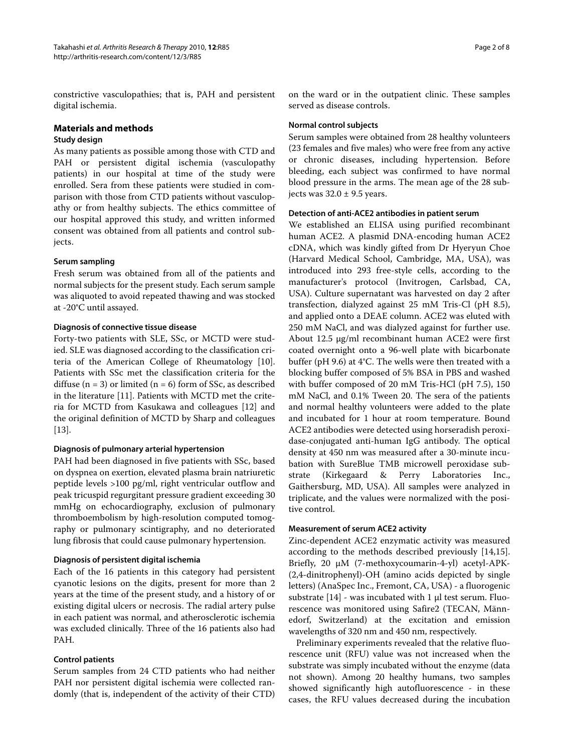constrictive vasculopathies; that is, PAH and persistent digital ischemia.

#### **Materials and methods**

#### **Study design**

As many patients as possible among those with CTD and PAH or persistent digital ischemia (vasculopathy patients) in our hospital at time of the study were enrolled. Sera from these patients were studied in comparison with those from CTD patients without vasculopathy or from healthy subjects. The ethics committee of our hospital approved this study, and written informed consent was obtained from all patients and control subjects.

#### **Serum sampling**

Fresh serum was obtained from all of the patients and normal subjects for the present study. Each serum sample was aliquoted to avoid repeated thawing and was stocked at -20°C until assayed.

#### **Diagnosis of connective tissue disease**

Forty-two patients with SLE, SSc, or MCTD were studied. SLE was diagnosed according to the classification criteria of the American College of Rheumatology [\[10](#page-6-8)]. Patients with SSc met the classification criteria for the diffuse  $(n = 3)$  or limited  $(n = 6)$  form of SSc, as described in the literature [[11\]](#page-6-9). Patients with MCTD met the criteria for MCTD from Kasukawa and colleagues [\[12](#page-6-10)] and the original definition of MCTD by Sharp and colleagues [[13\]](#page-6-11).

#### **Diagnosis of pulmonary arterial hypertension**

PAH had been diagnosed in five patients with SSc, based on dyspnea on exertion, elevated plasma brain natriuretic peptide levels >100 pg/ml, right ventricular outflow and peak tricuspid regurgitant pressure gradient exceeding 30 mmHg on echocardiography, exclusion of pulmonary thromboembolism by high-resolution computed tomography or pulmonary scintigraphy, and no deteriorated lung fibrosis that could cause pulmonary hypertension.

#### **Diagnosis of persistent digital ischemia**

Each of the 16 patients in this category had persistent cyanotic lesions on the digits, present for more than 2 years at the time of the present study, and a history of or existing digital ulcers or necrosis. The radial artery pulse in each patient was normal, and atherosclerotic ischemia was excluded clinically. Three of the 16 patients also had PAH.

#### **Control patients**

Serum samples from 24 CTD patients who had neither PAH nor persistent digital ischemia were collected randomly (that is, independent of the activity of their CTD) on the ward or in the outpatient clinic. These samples served as disease controls.

#### **Normal control subjects**

Serum samples were obtained from 28 healthy volunteers (23 females and five males) who were free from any active or chronic diseases, including hypertension. Before bleeding, each subject was confirmed to have normal blood pressure in the arms. The mean age of the 28 subjects was  $32.0 \pm 9.5$  years.

#### **Detection of anti-ACE2 antibodies in patient serum**

We established an ELISA using purified recombinant human ACE2. A plasmid DNA-encoding human ACE2 cDNA, which was kindly gifted from Dr Hyeryun Choe (Harvard Medical School, Cambridge, MA, USA), was introduced into 293 free-style cells, according to the manufacturer's protocol (Invitrogen, Carlsbad, CA, USA). Culture supernatant was harvested on day 2 after transfection, dialyzed against 25 mM Tris-Cl (pH 8.5), and applied onto a DEAE column. ACE2 was eluted with 250 mM NaCl, and was dialyzed against for further use. About 12.5 μg/ml recombinant human ACE2 were first coated overnight onto a 96-well plate with bicarbonate buffer (pH 9.6) at 4°C. The wells were then treated with a blocking buffer composed of 5% BSA in PBS and washed with buffer composed of 20 mM Tris-HCl (pH 7.5), 150 mM NaCl, and 0.1% Tween 20. The sera of the patients and normal healthy volunteers were added to the plate and incubated for 1 hour at room temperature. Bound ACE2 antibodies were detected using horseradish peroxidase-conjugated anti-human IgG antibody. The optical density at 450 nm was measured after a 30-minute incubation with SureBlue TMB microwell peroxidase substrate (Kirkegaard & Perry Laboratories Inc., Gaithersburg, MD, USA). All samples were analyzed in triplicate, and the values were normalized with the positive control.

#### **Measurement of serum ACE2 activity**

Zinc-dependent ACE2 enzymatic activity was measured according to the methods described previously [\[14](#page-6-12)[,15](#page-7-0)]. Briefly, 20 μM (7-methoxycoumarin-4-yl) acetyl-APK- (2,4-dinitrophenyl)-OH (amino acids depicted by single letters) (AnaSpec Inc., Fremont, CA, USA) - a fluorogenic substrate [[14](#page-6-12)] - was incubated with 1 μl test serum. Fluorescence was monitored using Safire2 (TECAN, Männedorf, Switzerland) at the excitation and emission wavelengths of 320 nm and 450 nm, respectively.

Preliminary experiments revealed that the relative fluorescence unit (RFU) value was not increased when the substrate was simply incubated without the enzyme (data not shown). Among 20 healthy humans, two samples showed significantly high autofluorescence - in these cases, the RFU values decreased during the incubation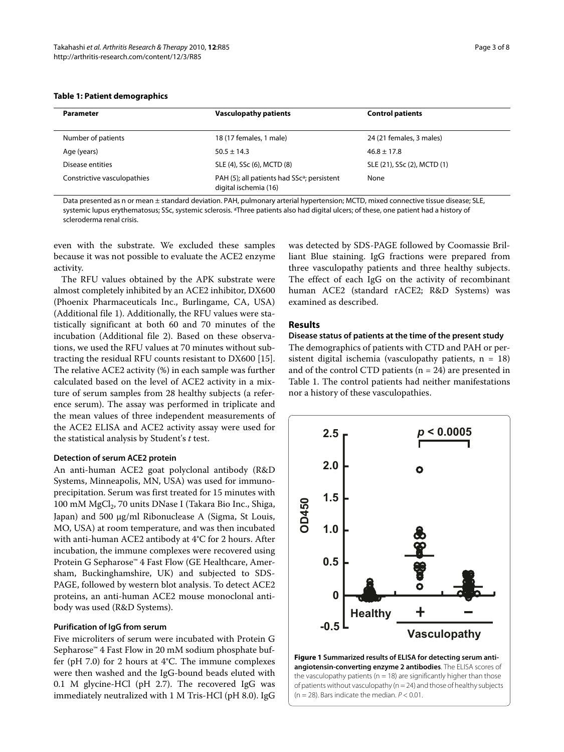#### **Table 1: Patient demographics**

| <b>Parameter</b>            | <b>Vasculopathy patients</b>                                                     | <b>Control patients</b>     |
|-----------------------------|----------------------------------------------------------------------------------|-----------------------------|
| Number of patients          | 18 (17 females, 1 male)                                                          | 24 (21 females, 3 males)    |
| Age (years)                 | $50.5 \pm 14.3$                                                                  | $46.8 \pm 17.8$             |
| Disease entities            | SLE (4), SSc (6), MCTD (8)                                                       | SLE (21), SSc (2), MCTD (1) |
| Constrictive vasculopathies | PAH (5); all patients had SSc <sup>a</sup> ; persistent<br>digital ischemia (16) | None                        |

Data presented as n or mean ± standard deviation. PAH, pulmonary arterial hypertension; MCTD, mixed connective tissue disease; SLE, systemic lupus erythematosus; SSc, systemic sclerosis. <sup>a</sup>Three patients also had digital ulcers; of these, one patient had a history of scleroderma renal crisis.

even with the substrate. We excluded these samples because it was not possible to evaluate the ACE2 enzyme activity.

The RFU values obtained by the APK substrate were almost completely inhibited by an ACE2 inhibitor, DX600 (Phoenix Pharmaceuticals Inc., Burlingame, CA, USA) (Additional file [1](#page-6-13)). Additionally, the RFU values were statistically significant at both 60 and 70 minutes of the incubation (Additional file [2](#page-6-14)). Based on these observations, we used the RFU values at 70 minutes without subtracting the residual RFU counts resistant to DX600 [\[15](#page-7-0)]. The relative ACE2 activity (%) in each sample was further calculated based on the level of ACE2 activity in a mixture of serum samples from 28 healthy subjects (a reference serum). The assay was performed in triplicate and the mean values of three independent measurements of the ACE2 ELISA and ACE2 activity assay were used for the statistical analysis by Student's *t* test.

#### **Detection of serum ACE2 protein**

An anti-human ACE2 goat polyclonal antibody (R&D Systems, Minneapolis, MN, USA) was used for immunoprecipitation. Serum was first treated for 15 minutes with 100 mM MgCl<sub>2</sub>, 70 units DNase I (Takara Bio Inc., Shiga, Japan) and 500 μg/ml Ribonuclease A (Sigma, St Louis, MO, USA) at room temperature, and was then incubated with anti-human ACE2 antibody at 4°C for 2 hours. After incubation, the immune complexes were recovered using Protein G Sepharose™ 4 Fast Flow (GE Healthcare, Amersham, Buckinghamshire, UK) and subjected to SDS-PAGE, followed by western blot analysis. To detect ACE2 proteins, an anti-human ACE2 mouse monoclonal antibody was used (R&D Systems).

#### **Purification of IgG from serum**

Five microliters of serum were incubated with Protein G Sepharose™ 4 Fast Flow in 20 mM sodium phosphate buffer (pH 7.0) for 2 hours at 4°C. The immune complexes were then washed and the IgG-bound beads eluted with 0.1 M glycine-HCl (pH 2.7). The recovered IgG was immediately neutralized with 1 M Tris-HCl (pH 8.0). IgG

was detected by SDS-PAGE followed by Coomassie Brilliant Blue staining. IgG fractions were prepared from three vasculopathy patients and three healthy subjects. The effect of each IgG on the activity of recombinant human ACE2 (standard rACE2; R&D Systems) was examined as described.

#### **Results**

#### **Disease status of patients at the time of the present study**

The demographics of patients with CTD and PAH or persistent digital ischemia (vasculopathy patients,  $n = 18$ ) and of the control CTD patients  $(n = 24)$  are presented in Table 1. The control patients had neither manifestations nor a history of these vasculopathies.

<span id="page-2-0"></span>

**Figure 1 Summarized results of ELISA for detecting serum antiangiotensin-converting enzyme 2 antibodies**. The ELISA scores of the vasculopathy patients ( $n = 18$ ) are significantly higher than those of patients without vasculopathy (n = 24) and those of healthy subjects  $(n = 28)$ . Bars indicate the median.  $P < 0.01$ .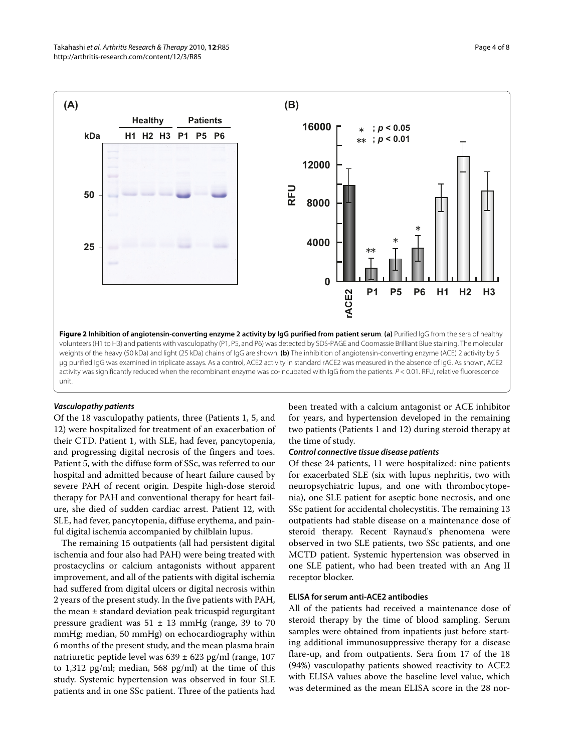<span id="page-3-0"></span>

#### **Vasculopathy patients**

Of the 18 vasculopathy patients, three (Patients 1, 5, and 12) were hospitalized for treatment of an exacerbation of their CTD. Patient 1, with SLE, had fever, pancytopenia, and progressing digital necrosis of the fingers and toes. Patient 5, with the diffuse form of SSc, was referred to our hospital and admitted because of heart failure caused by severe PAH of recent origin. Despite high-dose steroid therapy for PAH and conventional therapy for heart failure, she died of sudden cardiac arrest. Patient 12, with SLE, had fever, pancytopenia, diffuse erythema, and painful digital ischemia accompanied by chilblain lupus.

The remaining 15 outpatients (all had persistent digital ischemia and four also had PAH) were being treated with prostacyclins or calcium antagonists without apparent improvement, and all of the patients with digital ischemia had suffered from digital ulcers or digital necrosis within 2 years of the present study. In the five patients with PAH, the mean ± standard deviation peak tricuspid regurgitant pressure gradient was  $51 \pm 13$  mmHg (range, 39 to 70 mmHg; median, 50 mmHg) on echocardiography within 6 months of the present study, and the mean plasma brain natriuretic peptide level was 639 ± 623 pg/ml (range, 107 to 1,312 pg/ml; median, 568 pg/ml) at the time of this study. Systemic hypertension was observed in four SLE patients and in one SSc patient. Three of the patients had been treated with a calcium antagonist or ACE inhibitor for years, and hypertension developed in the remaining two patients (Patients 1 and 12) during steroid therapy at the time of study.

#### **Control connective tissue disease patients**

Of these 24 patients, 11 were hospitalized: nine patients for exacerbated SLE (six with lupus nephritis, two with neuropsychiatric lupus, and one with thrombocytopenia), one SLE patient for aseptic bone necrosis, and one SSc patient for accidental cholecystitis. The remaining 13 outpatients had stable disease on a maintenance dose of steroid therapy. Recent Raynaud's phenomena were observed in two SLE patients, two SSc patients, and one MCTD patient. Systemic hypertension was observed in one SLE patient, who had been treated with an Ang II receptor blocker.

#### **ELISA for serum anti-ACE2 antibodies**

All of the patients had received a maintenance dose of steroid therapy by the time of blood sampling. Serum samples were obtained from inpatients just before starting additional immunosuppressive therapy for a disease flare-up, and from outpatients. Sera from 17 of the 18 (94%) vasculopathy patients showed reactivity to ACE2 with ELISA values above the baseline level value, which was determined as the mean ELISA score in the 28 nor-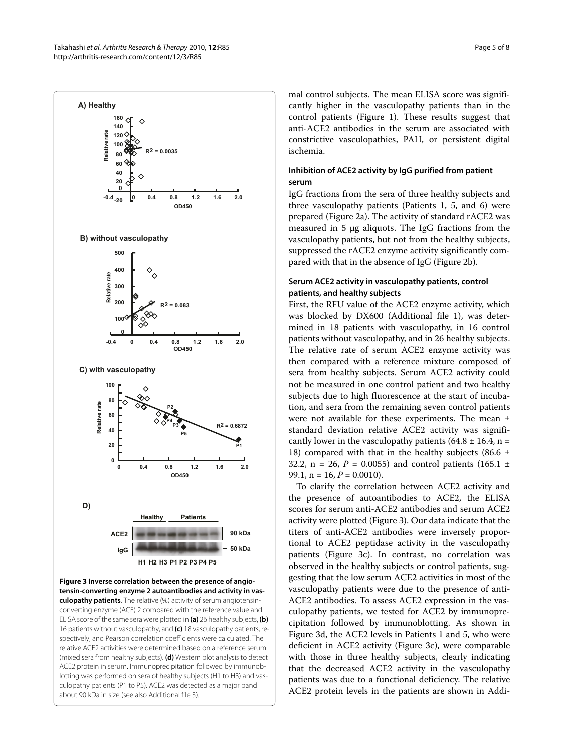<span id="page-4-0"></span>

**Figure 3 Inverse correlation between the presence of angiotensin-converting enzyme 2 autoantibodies and activity in vasculopathy patients**. The relative (%) activity of serum angiotensinconverting enzyme (ACE) 2 compared with the reference value and ELISA score of the same sera were plotted in **(a)** 26 healthy subjects, **(b)**  16 patients without vasculopathy, and **(c)** 18 vasculopathy patients, respectively, and Pearson correlation coefficients were calculated. The relative ACE2 activities were determined based on a reference serum (mixed sera from healthy subjects). **(d)** Western blot analysis to detect ACE2 protein in serum. Immunoprecipitation followed by immunoblotting was performed on sera of healthy subjects (H1 to H3) and vasculopathy patients (P1 to P5). ACE2 was detected as a major band about 90 kDa in size (see also Additional file [3\)](#page-6-15).

mal control subjects. The mean ELISA score was significantly higher in the vasculopathy patients than in the control patients (Figure [1\)](#page-2-0). These results suggest that anti-ACE2 antibodies in the serum are associated with constrictive vasculopathies, PAH, or persistent digital ischemia.

#### **Inhibition of ACE2 activity by IgG purified from patient serum**

IgG fractions from the sera of three healthy subjects and three vasculopathy patients (Patients 1, 5, and 6) were prepared (Figure [2](#page-3-0)a). The activity of standard rACE2 was measured in 5 μg aliquots. The IgG fractions from the vasculopathy patients, but not from the healthy subjects, suppressed the rACE2 enzyme activity significantly compared with that in the absence of IgG (Figure [2b](#page-3-0)).

#### **Serum ACE2 activity in vasculopathy patients, control patients, and healthy subjects**

First, the RFU value of the ACE2 enzyme activity, which was blocked by DX600 (Additional file [1\)](#page-6-13), was determined in 18 patients with vasculopathy, in 16 control patients without vasculopathy, and in 26 healthy subjects. The relative rate of serum ACE2 enzyme activity was then compared with a reference mixture composed of sera from healthy subjects. Serum ACE2 activity could not be measured in one control patient and two healthy subjects due to high fluorescence at the start of incubation, and sera from the remaining seven control patients were not available for these experiments. The mean ± standard deviation relative ACE2 activity was significantly lower in the vasculopathy patients (64.8  $\pm$  16.4, n = 18) compared with that in the healthy subjects (86.6  $\pm$ 32.2,  $n = 26$ ,  $P = 0.0055$ ) and control patients (165.1  $\pm$ 99.1,  $n = 16$ ,  $P = 0.0010$ ).

To clarify the correlation between ACE2 activity and the presence of autoantibodies to ACE2, the ELISA scores for serum anti-ACE2 antibodies and serum ACE2 activity were plotted (Figure [3](#page-4-0)). Our data indicate that the titers of anti-ACE2 antibodies were inversely proportional to ACE2 peptidase activity in the vasculopathy patients (Figure [3](#page-4-0)c). In contrast, no correlation was observed in the healthy subjects or control patients, suggesting that the low serum ACE2 activities in most of the vasculopathy patients were due to the presence of anti-ACE2 antibodies. To assess ACE2 expression in the vasculopathy patients, we tested for ACE2 by immunoprecipitation followed by immunoblotting. As shown in Figure [3](#page-4-0)d, the ACE2 levels in Patients 1 and 5, who were deficient in ACE2 activity (Figure [3](#page-4-0)c), were comparable with those in three healthy subjects, clearly indicating that the decreased ACE2 activity in the vasculopathy patients was due to a functional deficiency. The relative ACE2 protein levels in the patients are shown in Addi-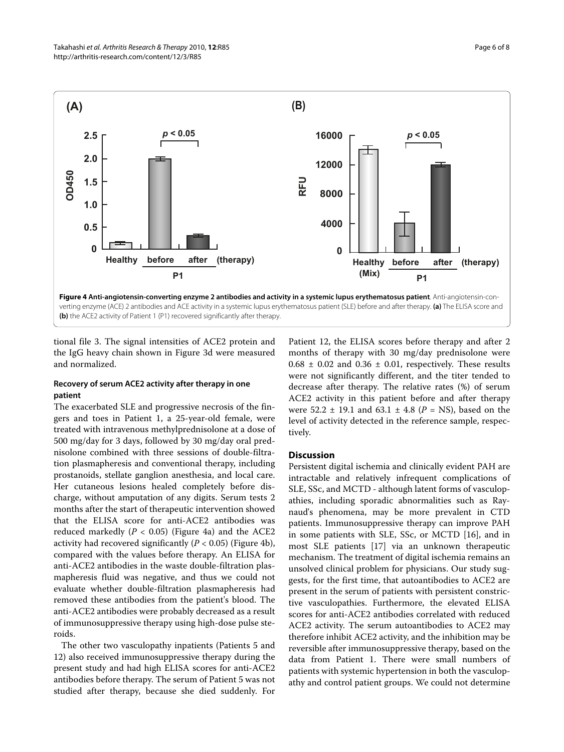<span id="page-5-0"></span>

tional file [3.](#page-6-15) The signal intensities of ACE2 protein and the IgG heavy chain shown in Figure [3](#page-4-0)d were measured and normalized.

#### **Recovery of serum ACE2 activity after therapy in one patient**

The exacerbated SLE and progressive necrosis of the fingers and toes in Patient 1, a 25-year-old female, were treated with intravenous methylprednisolone at a dose of 500 mg/day for 3 days, followed by 30 mg/day oral prednisolone combined with three sessions of double-filtration plasmapheresis and conventional therapy, including prostanoids, stellate ganglion anesthesia, and local care. Her cutaneous lesions healed completely before discharge, without amputation of any digits. Serum tests 2 months after the start of therapeutic intervention showed that the ELISA score for anti-ACE2 antibodies was reduced markedly  $(P < 0.05)$  (Figure [4](#page-5-0)a) and the ACE2 activity had recovered significantly (*P* < 0.05) (Figure [4b](#page-5-0)), compared with the values before therapy. An ELISA for anti-ACE2 antibodies in the waste double-filtration plasmapheresis fluid was negative, and thus we could not evaluate whether double-filtration plasmapheresis had removed these antibodies from the patient's blood. The anti-ACE2 antibodies were probably decreased as a result of immunosuppressive therapy using high-dose pulse steroids.

The other two vasculopathy inpatients (Patients 5 and 12) also received immunosuppressive therapy during the present study and had high ELISA scores for anti-ACE2 antibodies before therapy. The serum of Patient 5 was not studied after therapy, because she died suddenly. For

Patient 12, the ELISA scores before therapy and after 2 months of therapy with 30 mg/day prednisolone were  $0.68 \pm 0.02$  and  $0.36 \pm 0.01$ , respectively. These results were not significantly different, and the titer tended to decrease after therapy. The relative rates (%) of serum ACE2 activity in this patient before and after therapy were 52.2 ± 19.1 and 63.1 ± 4.8 (*P* = NS), based on the level of activity detected in the reference sample, respectively.

#### **Discussion**

Persistent digital ischemia and clinically evident PAH are intractable and relatively infrequent complications of SLE, SSc, and MCTD - although latent forms of vasculopathies, including sporadic abnormalities such as Raynaud's phenomena, may be more prevalent in CTD patients. Immunosuppressive therapy can improve PAH in some patients with SLE, SSc, or MCTD [[16](#page-7-1)], and in most SLE patients [[17\]](#page-7-2) via an unknown therapeutic mechanism. The treatment of digital ischemia remains an unsolved clinical problem for physicians. Our study suggests, for the first time, that autoantibodies to ACE2 are present in the serum of patients with persistent constrictive vasculopathies. Furthermore, the elevated ELISA scores for anti-ACE2 antibodies correlated with reduced ACE2 activity. The serum autoantibodies to ACE2 may therefore inhibit ACE2 activity, and the inhibition may be reversible after immunosuppressive therapy, based on the data from Patient 1. There were small numbers of patients with systemic hypertension in both the vasculopathy and control patient groups. We could not determine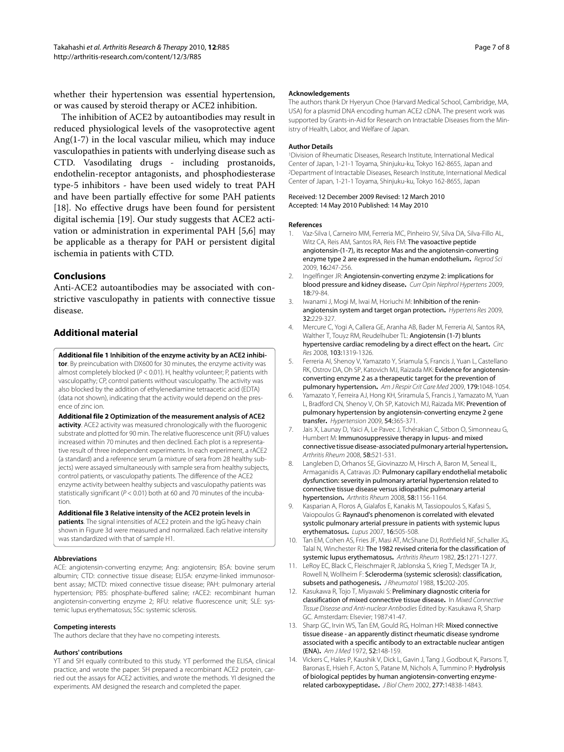whether their hypertension was essential hypertension, or was caused by steroid therapy or ACE2 inhibition.

The inhibition of ACE2 by autoantibodies may result in reduced physiological levels of the vasoprotective agent Ang(1-7) in the local vascular milieu, which may induce vasculopathies in patients with underlying disease such as CTD. Vasodilating drugs - including prostanoids, endothelin-receptor antagonists, and phosphodiesterase type-5 inhibitors - have been used widely to treat PAH and have been partially effective for some PAH patients [[18\]](#page-7-3). No effective drugs have been found for persistent digital ischemia [\[19\]](#page-7-4). Our study suggests that ACE2 activation or administration in experimental PAH [[5](#page-6-3)[,6](#page-6-4)] may be applicable as a therapy for PAH or persistent digital ischemia in patients with CTD.

#### **Conclusions**

Anti-ACE2 autoantibodies may be associated with constrictive vasculopathy in patients with connective tissue disease.

#### **Additional material**

<span id="page-6-13"></span>**[Additional file 1](http://www.biomedcentral.com/content/supplementary/ar3012-S1.PDF) Inhibition of the enzyme activity by an ACE2 inhibitor**. By preincubation with DX600 for 30 minutes, the enzyme activity was almost completely blocked ( $P < 0.01$ ). H, healthy volunteer; P, patients with vasculopathy; CP, control patients without vasculopathy. The activity was also blocked by the addition of ethylenediamine tetraacetic acid (EDTA) (data not shown), indicating that the activity would depend on the presence of zinc ion.

<span id="page-6-14"></span>**[Additional file 2](http://www.biomedcentral.com/content/supplementary/ar3012-S2.PDF) Optimization of the measurement analysis of ACE2 activity**. ACE2 activity was measured chronologically with the fluorogenic substrate and plotted for 90 min. The relative fluorescence unit (RFU) values increased within 70 minutes and then declined. Each plot is a representative result of three independent experiments. In each experiment, a rACE2 (a standard) and a reference serum (a mixture of sera from 28 healthy subjects) were assayed simultaneously with sample sera from healthy subjects, control patients, or vasculopathy patients. The difference of the ACE2 enzyme activity between healthy subjects and vasculopathy patients was statistically significant ( $P < 0.01$ ) both at 60 and 70 minutes of the incubation.

#### <span id="page-6-15"></span>**[Additional file 3](http://www.biomedcentral.com/content/supplementary/ar3012-S3.PDF) Relative intensity of the ACE2 protein levels in**

**patients**. The signal intensities of ACE2 protein and the IgG heavy chain shown in Figure [3d](#page-4-0) were measured and normalized. Each relative intensity was standardized with that of sample H1.

#### **Abbreviations**

ACE: angiotensin-converting enzyme; Ang: angiotensin; BSA: bovine serum albumin; CTD: connective tissue disease; ELISA: enzyme-linked immunosorbent assay; MCTD: mixed connective tissue disease; PAH: pulmonary arterial hypertension; PBS: phosphate-buffered saline; rACE2: recombinant human angiotensin-converting enzyme 2; RFU: relative fluorescence unit; SLE: systemic lupus erythematosus; SSc: systemic sclerosis.

#### **Competing interests**

The authors declare that they have no competing interests.

#### **Authors' contributions**

YT and SH equally contributed to this study. YT performed the ELISA, clinical practice, and wrote the paper. SH prepared a recombinant ACE2 protein, carried out the assays for ACE2 activities, and wrote the methods. YI designed the experiments. AM designed the research and completed the paper.

#### **Acknowledgements**

The authors thank Dr Hyeryun Choe (Harvard Medical School, Cambridge, MA, USA) for a plasmid DNA encoding human ACE2 cDNA. The present work was supported by Grants-in-Aid for Research on Intractable Diseases from the Ministry of Health, Labor, and Welfare of Japan.

#### **Author Details**

1Division of Rheumatic Diseases, Research Institute, International Medical Center of Japan, 1-21-1 Toyama, Shinjuku-ku, Tokyo 162-8655, Japan and 2Department of Intractable Diseases, Research Institute, International Medical Center of Japan, 1-21-1 Toyama, Shinjuku-ku, Tokyo 162-8655, Japan

#### Received: 12 December 2009 Revised: 12 March 2010 Accepted: 14 May 2010 Published: 14 May 2010

#### **References**

- <span id="page-6-0"></span>1. Vaz-Silva I, Carneiro MM, Ferreria MC, Pinheiro SV, Silva DA, Silva-Fillo AL, Witz CA, Reis AM, Santos RA, Reis FM: The vasoactive peptide angiotensin-(1-7), its receptor Mas and the angiotensin-converting enzyme type 2 are expressed in the human endothelium**.** Reprod Sci 2009, 16:247-256.
- <span id="page-6-1"></span>2. Ingelfinger JR: Angiotensin-converting enzyme 2: implications for blood pressure and kidney disease**.** Curr Opin Nephrol Hypertens 2009, 18:79-84.
- 3. Iwanami J, Mogi M, Iwai M, Horiuchi M: Inhibition of the reninangiotensin system and target organ protection**.** Hypertens Res 2009, 32:229-327.
- <span id="page-6-2"></span>4. Mercure C, Yogi A, Callera GE, Aranha AB, Bader M, Ferreria AI, Santos RA, Walther T, Touyz RM, Reudelhuber TL: Angiotensin (1-7) blunts hypertensive cardiac remodeling by a direct effect on the heart**.** Circ Res 2008, 103:1319-1326.
- <span id="page-6-3"></span>5. Ferreria AI, Shenoy V, Yamazato Y, Sriamula S, Francis J, Yuan L, Castellano RK, Ostrov DA, Oh SP, Katovich MJ, Raizada MK: Evidence for angiotensinconverting enzyme 2 as a therapeutic target for the prevention of pulmonary hypertension**.** Am J Respir Crit Care Med 2009, 179:1048-1054.
- <span id="page-6-4"></span>Yamazato Y, Ferreira AJ, Hong KH, Sriramula S, Francis J, Yamazato M, Yuan L, Bradford CN, Shenoy V, Oh SP, Katovich MJ, Raizada MK: Prevention of pulmonary hypertension by angiotensin-converting enzyme 2 gene transfer**.** Hypertension 2009, 54:365-371.
- <span id="page-6-5"></span>7. Jais X, Launay D, Yaici A, Le Pavec J, Tchérakian C, Sitbon O, Simonneau G, Humbert M: Immunosuppressive therapy in lupus- and mixed connective tissue disease-associated pulmonary arterial hypertension**.** Arthritis Rheum 2008, 58:521-531.
- <span id="page-6-6"></span>Langleben D, Orhanos SE, Giovinazzo M, Hirsch A, Baron M, Seneal IL, Armaganidis A, Catravas JD: Pulmonary capillary endothelial metabolic dysfunction: severity in pulmonary arterial hypertension related to connective tissue disease versus idiopathic pulmonary arterial hypertension**[.](http://www.ncbi.nlm.nih.gov/entrez/query.fcgi?cmd=Retrieve&db=PubMed&dopt=Abstract&list_uids=18383374)** Arthritis Rheum 2008, 58:1156-1164.
- <span id="page-6-7"></span>9. Kasparian A, Floros A, Gialafos E, Kanakis M, Tassiopoulos S, Kafasi S, Vaiopoulos G: Raynaud's phenomenon is correlated with elevated systolic pulmonary arterial pressure in patients with systemic lupus erythematosu[s](http://www.ncbi.nlm.nih.gov/entrez/query.fcgi?cmd=Retrieve&db=PubMed&dopt=Abstract&list_uids=17670849)**.** Lupus 2007, 16:505-508.
- <span id="page-6-8"></span>10. Tan EM, Cohen AS, Fries JF, Masi AT, McShane DJ, Rothfield NF, Schaller JG, Talal N, Winchester RJ: The 1982 revised criteria for the classification of systemic lupus erythematosus**.** Arthritis Rheum 1982, 25:1271-1277.
- <span id="page-6-9"></span>11. LeRoy EC, Black C, Fleischmajer R, Jablonska S, Krieg T, Medsger TA Jr, Rowell N, Wollheim F: Scleroderma (systemic sclerosis): classification, subsets and pathogenesis. JRheumatol 1988, 15:202-205.
- <span id="page-6-10"></span>12. Kasukawa R, Tojo T, Miyawaki S: Preliminary diagnostic criteria for classification of mixed connective tissue disease**.** In Mixed Connective Tissue Disease and Anti-nuclear Antibodies Edited by: Kasukawa R, Sharp GC. Amsterdam: Elsevier; 1987:41-47.
- <span id="page-6-11"></span>13. Sharp GC, Irvin WS, Tan EM, Gould RG, Holman HR: Mixed connective tissue disease - an apparently distinct rheumatic disease syndrome associated with a specific antibody to an extractable nuclear antigen (ENA)**.** Am J Med 1972, 52:148-159.
- <span id="page-6-12"></span>14. Vickers C, Hales P, Kaushik V, Dick L, Gavin J, Tang J, Godbout K, Parsons T, Baronas E, Hsieh F, Acton S, Patane M, Nichols A, Tummino P: Hydrolysis of biological peptides by human angiotensin-converting enzymerelated carboxypeptidase**.** J Biol Chem 2002, 277:14838-14843.